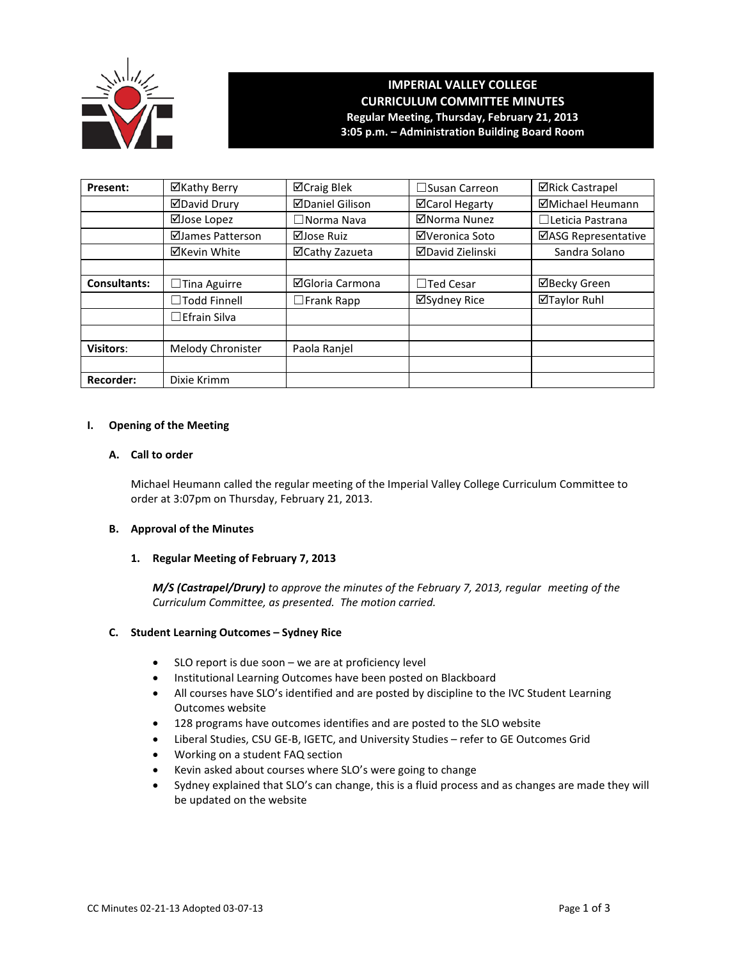

# **IMPERIAL VALLEY COLLEGE CURRICULUM COMMITTEE MINUTES Regular Meeting, Thursday, February 21, 2013 3:05 p.m. – Administration Building Board Room**

| Present:            | ⊠Kathy Berry        | ⊠Craig Blek            | $\square$ Susan Carreon | <b>⊠Rick Castrapel</b> |
|---------------------|---------------------|------------------------|-------------------------|------------------------|
|                     | <b>ØDavid Drury</b> | <b>ØDaniel Gilison</b> | ⊠Carol Hegarty          | ⊠Michael Heumann       |
|                     | ⊠Jose Lopez         | $\Box$ Norma Nava      | ⊠Norma Nunez            | □Leticia Pastrana      |
|                     | ⊠James Patterson    | ⊠Jose Ruiz             | ⊠Veronica Soto          | ⊠ASG Representative    |
|                     | ⊠Kevin White        | ⊠Cathy Zazueta         | <b>ØDavid Zielinski</b> | Sandra Solano          |
|                     |                     |                        |                         |                        |
| <b>Consultants:</b> | $\Box$ Tina Aguirre | ⊠Gloria Carmona        | $\Box$ Ted Cesar        | ⊠Becky Green           |
|                     | $\Box$ Todd Finnell | $\Box$ Frank Rapp      | ⊠Sydney Rice            | ⊠Taylor Ruhl           |
|                     | $\Box$ Efrain Silva |                        |                         |                        |
|                     |                     |                        |                         |                        |
| <b>Visitors:</b>    | Melody Chronister   | Paola Ranjel           |                         |                        |
|                     |                     |                        |                         |                        |
| Recorder:           | Dixie Krimm         |                        |                         |                        |

### **I. Opening of the Meeting**

### **A. Call to order**

Michael Heumann called the regular meeting of the Imperial Valley College Curriculum Committee to order at 3:07pm on Thursday, February 21, 2013.

# **B. Approval of the Minutes**

### **1. Regular Meeting of February 7, 2013**

*M/S (Castrapel/Drury) to approve the minutes of the February 7, 2013, regular meeting of the Curriculum Committee, as presented. The motion carried.* 

### **C. Student Learning Outcomes – Sydney Rice**

- SLO report is due soon we are at proficiency level
- Institutional Learning Outcomes have been posted on Blackboard
- All courses have SLO's identified and are posted by discipline to the IVC Student Learning Outcomes website
- 128 programs have outcomes identifies and are posted to the SLO website
- Liberal Studies, CSU GE-B, IGETC, and University Studies refer to GE Outcomes Grid
- Working on a student FAQ section
- Kevin asked about courses where SLO's were going to change
- Sydney explained that SLO's can change, this is a fluid process and as changes are made they will be updated on the website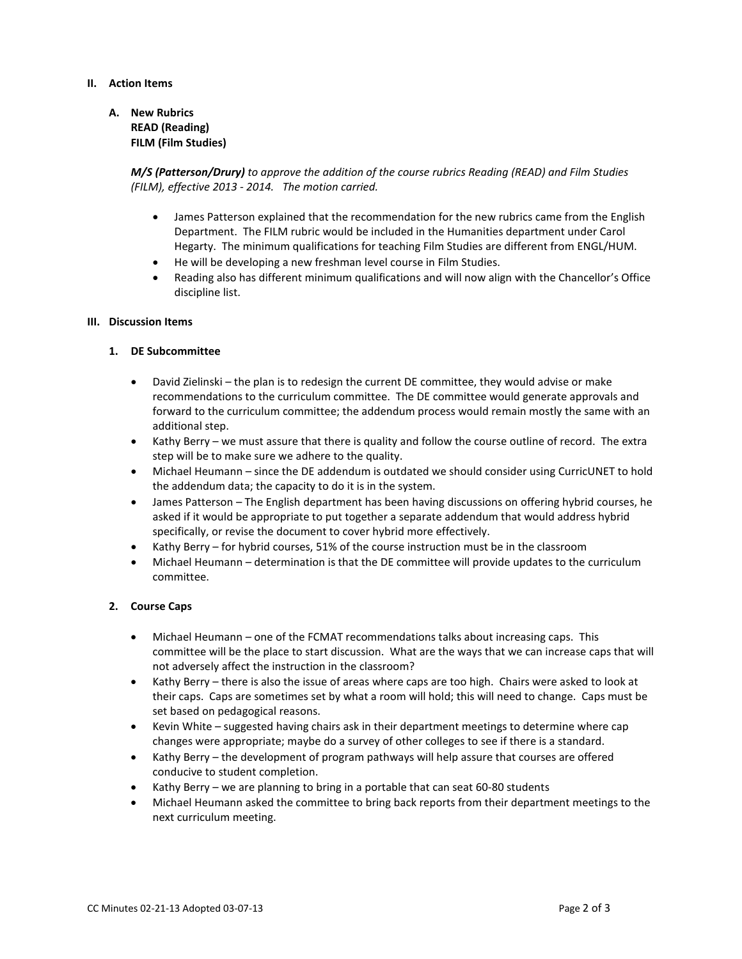# **II. Action Items**

**A. New Rubrics READ (Reading) FILM (Film Studies)**

> *M/S (Patterson/Drury) to approve the addition of the course rubrics Reading (READ) and Film Studies (FILM), effective 2013 - 2014. The motion carried.*

- James Patterson explained that the recommendation for the new rubrics came from the English Department. The FILM rubric would be included in the Humanities department under Carol Hegarty. The minimum qualifications for teaching Film Studies are different from ENGL/HUM.
- He will be developing a new freshman level course in Film Studies.
- Reading also has different minimum qualifications and will now align with the Chancellor's Office discipline list.

#### **III. Discussion Items**

### **1. DE Subcommittee**

- David Zielinski the plan is to redesign the current DE committee, they would advise or make recommendations to the curriculum committee. The DE committee would generate approvals and forward to the curriculum committee; the addendum process would remain mostly the same with an additional step.
- Kathy Berry we must assure that there is quality and follow the course outline of record. The extra step will be to make sure we adhere to the quality.
- Michael Heumann since the DE addendum is outdated we should consider using CurricUNET to hold the addendum data; the capacity to do it is in the system.
- James Patterson The English department has been having discussions on offering hybrid courses, he asked if it would be appropriate to put together a separate addendum that would address hybrid specifically, or revise the document to cover hybrid more effectively.
- Kathy Berry for hybrid courses, 51% of the course instruction must be in the classroom
- Michael Heumann determination is that the DE committee will provide updates to the curriculum committee.

### **2. Course Caps**

- Michael Heumann one of the FCMAT recommendations talks about increasing caps. This committee will be the place to start discussion. What are the ways that we can increase caps that will not adversely affect the instruction in the classroom?
- Kathy Berry there is also the issue of areas where caps are too high. Chairs were asked to look at their caps. Caps are sometimes set by what a room will hold; this will need to change. Caps must be set based on pedagogical reasons.
- Kevin White suggested having chairs ask in their department meetings to determine where cap changes were appropriate; maybe do a survey of other colleges to see if there is a standard.
- Kathy Berry the development of program pathways will help assure that courses are offered conducive to student completion.
- Kathy Berry we are planning to bring in a portable that can seat 60-80 students
- Michael Heumann asked the committee to bring back reports from their department meetings to the next curriculum meeting.